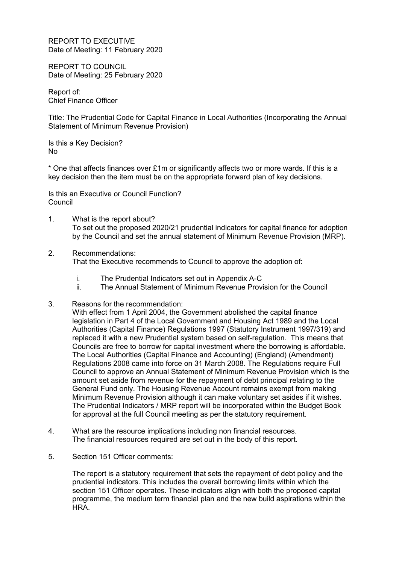REPORT TO EXECUTIVE Date of Meeting: 11 February 2020

REPORT TO COUNCIL Date of Meeting: 25 February 2020

Report of: Chief Finance Officer

Title: The Prudential Code for Capital Finance in Local Authorities (Incorporating the Annual Statement of Minimum Revenue Provision)

Is this a Key Decision? No

 $*$  One that affects finances over £1m or significantly affects two or more wards. If this is a key decision then the item must be on the appropriate forward plan of key decisions.

Is this an Executive or Council Function? Council

- 1. What is the report about? To set out the proposed 2020/21 prudential indicators for capital finance for adoption by the Council and set the annual statement of Minimum Revenue Provision (MRP).
- 2. Recommendations:

That the Executive recommends to Council to approve the adoption of:

- i. The Prudential Indicators set out in Appendix A-C
- ii. The Annual Statement of Minimum Revenue Provision for the Council
- 3. Reasons for the recommendation:
	- With effect from 1 April 2004, the Government abolished the capital finance legislation in Part 4 of the Local Government and Housing Act 1989 and the Local Authorities (Capital Finance) Regulations 1997 (Statutory Instrument 1997/319) and replaced it with a new Prudential system based on self-regulation. This means that Councils are free to borrow for capital investment where the borrowing is affordable. The Local Authorities (Capital Finance and Accounting) (England) (Amendment) Regulations 2008 came into force on 31 March 2008. The Regulations require Full Council to approve an Annual Statement of Minimum Revenue Provision which is the amount set aside from revenue for the repayment of debt principal relating to the General Fund only. The Housing Revenue Account remains exempt from making Minimum Revenue Provision although it can make voluntary set asides if it wishes. The Prudential Indicators / MRP report will be incorporated within the Budget Book for approval at the full Council meeting as per the statutory requirement.
- 4. What are the resource implications including non financial resources. The financial resources required are set out in the body of this report.
- 5. Section 151 Officer comments:

The report is a statutory requirement that sets the repayment of debt policy and the prudential indicators. This includes the overall borrowing limits within which the section 151 Officer operates. These indicators align with both the proposed capital programme, the medium term financial plan and the new build aspirations within the HRA.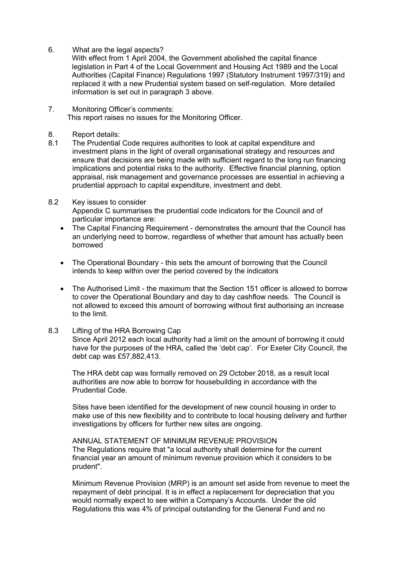6. What are the legal aspects?

With effect from 1 April 2004, the Government abolished the capital finance legislation in Part 4 of the Local Government and Housing Act 1989 and the Local Authorities (Capital Finance) Regulations 1997 (Statutory Instrument 1997/319) and replaced it with a new Prudential system based on self-regulation. More detailed information is set out in paragraph 3 above.

- 7. Monitoring Officer's comments: This report raises no issues for the Monitoring Officer.
- 8. Report details:
- 8.1 The Prudential Code requires authorities to look at capital expenditure and investment plans in the light of overall organisational strategy and resources and ensure that decisions are being made with sufficient regard to the long run financing implications and potential risks to the authority. Effective financial planning, option appraisal, risk management and governance processes are essential in achieving a prudential approach to capital expenditure, investment and debt.

# 8.2 Key issues to consider

Appendix C summarises the prudential code indicators for the Council and of particular importance are:

- The Capital Financing Requirement demonstrates the amount that the Council has an underlying need to borrow, regardless of whether that amount has actually been borrowed
- The Operational Boundary this sets the amount of borrowing that the Council intends to keep within over the period covered by the indicators
- The Authorised Limit the maximum that the Section 151 officer is allowed to borrow to cover the Operational Boundary and day to day cashflow needs. The Council is not allowed to exceed this amount of borrowing without first authorising an increase to the limit.

## 8.3 Lifting of the HRA Borrowing Cap

Since April 2012 each local authority had a limit on the amount of borrowing it could have for the purposes of the HRA, called the 'debt cap'. For Exeter City Council, the debt cap was £57,882,413.

The HRA debt cap was formally removed on 29 October 2018, as a result local authorities are now able to borrow for housebuilding in accordance with the Prudential Code.

Sites have been identified for the development of new council housing in order to make use of this new flexibility and to contribute to local housing delivery and further investigations by officers for further new sites are ongoing.

ANNUAL STATEMENT OF MINIMUM REVENUE PROVISION The Regulations require that "a local authority shall determine for the current financial year an amount of minimum revenue provision which it considers to be prudent".

Minimum Revenue Provision (MRP) is an amount set aside from revenue to meet the repayment of debt principal. It is in effect a replacement for depreciation that you would normally expect to see within a Company's Accounts. Under the old Regulations this was 4% of principal outstanding for the General Fund and no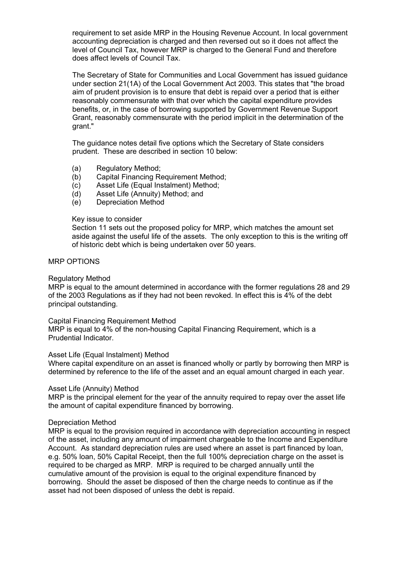requirement to set aside MRP in the Housing Revenue Account. In local government accounting depreciation is charged and then reversed out so it does not affect the level of Council Tax, however MRP is charged to the General Fund and therefore does affect levels of Council Tax.

The Secretary of State for Communities and Local Government has issued guidance under section 21(1A) of the Local Government Act 2003. This states that "the broad aim of prudent provision is to ensure that debt is repaid over a period that is either reasonably commensurate with that over which the capital expenditure provides benefits, or, in the case of borrowing supported by Government Revenue Support Grant, reasonably commensurate with the period implicit in the determination of the grant."

The guidance notes detail five options which the Secretary of State considers prudent. These are described in section 10 below:

- (a) Regulatory Method;
- (b) Capital Financing Requirement Method;
- (c) Asset Life (Equal Instalment) Method;
- (d) Asset Life (Annuity) Method; and
- (e) Depreciation Method

### Key issue to consider

Section 11 sets out the proposed policy for MRP, which matches the amount set aside against the useful life of the assets. The only exception to this is the writing off of historic debt which is being undertaken over 50 years.

#### MRP OPTIONS

### Regulatory Method

MRP is equal to the amount determined in accordance with the former regulations 28 and 29 of the 2003 Regulations as if they had not been revoked. In effect this is 4% of the debt principal outstanding.

### Capital Financing Requirement Method

MRP is equal to 4% of the non-housing Capital Financing Requirement, which is a Prudential Indicator.

### Asset Life (Equal Instalment) Method

Where capital expenditure on an asset is financed wholly or partly by borrowing then MRP is determined by reference to the life of the asset and an equal amount charged in each year.

### Asset Life (Annuity) Method

MRP is the principal element for the year of the annuity required to repay over the asset life the amount of capital expenditure financed by borrowing.

### Depreciation Method

MRP is equal to the provision required in accordance with depreciation accounting in respect of the asset, including any amount of impairment chargeable to the Income and Expenditure Account. As standard depreciation rules are used where an asset is part financed by loan, e.g. 50% loan, 50% Capital Receipt, then the full 100% depreciation charge on the asset is required to be charged as MRP. MRP is required to be charged annually until the cumulative amount of the provision is equal to the original expenditure financed by borrowing. Should the asset be disposed of then the charge needs to continue as if the asset had not been disposed of unless the debt is repaid.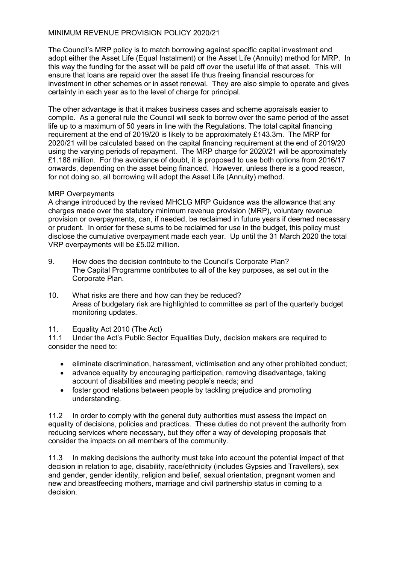# MINIMUM REVENUE PROVISION POLICY 2020/21

The Council's MRP policy is to match borrowing against specific capital investment and adopt either the Asset Life (Equal Instalment) or the Asset Life (Annuity) method for MRP. In this way the funding for the asset will be paid off over the useful life of that asset. This will ensure that loans are repaid over the asset life thus freeing financial resources for investment in other schemes or in asset renewal. They are also simple to operate and gives certainty in each year as to the level of charge for principal.

The other advantage is that it makes business cases and scheme appraisals easier to compile. As a general rule the Council will seek to borrow over the same period of the asset life up to a maximum of 50 years in line with the Regulations. The total capital financing requirement at the end of 2019/20 is likely to be approximately £143.3m. The MRP for 2020/21 will be calculated based on the capital financing requirement at the end of 2019/20 using the varying periods of repayment. The MRP charge for 2020/21 will be approximately £1.188 million. For the avoidance of doubt, it is proposed to use both options from 2016/17 onwards, depending on the asset being financed. However, unless there is a good reason, for not doing so, all borrowing will adopt the Asset Life (Annuity) method.

## MRP Overpayments

A change introduced by the revised MHCLG MRP Guidance was the allowance that any charges made over the statutory minimum revenue provision (MRP), voluntary revenue provision or overpayments, can, if needed, be reclaimed in future years if deemed necessary or prudent. In order for these sums to be reclaimed for use in the budget, this policy must disclose the cumulative overpayment made each year. Up until the 31 March 2020 the total VRP overpayments will be £5.02 million.

- 9. How does the decision contribute to the Council's Corporate Plan? The Capital Programme contributes to all of the key purposes, as set out in the Corporate Plan.
- 10. What risks are there and how can they be reduced? Areas of budgetary risk are highlighted to committee as part of the quarterly budget monitoring updates.
- 11. Equality Act 2010 (The Act)

11.1 Under the Act's Public Sector Equalities Duty, decision makers are required to consider the need to:

- eliminate discrimination, harassment, victimisation and any other prohibited conduct;
- advance equality by encouraging participation, removing disadvantage, taking account of disabilities and meeting people's needs; and
- foster good relations between people by tackling prejudice and promoting understanding.

11.2 In order to comply with the general duty authorities must assess the impact on equality of decisions, policies and practices. These duties do not prevent the authority from reducing services where necessary, but they offer a way of developing proposals that consider the impacts on all members of the community.

11.3 In making decisions the authority must take into account the potential impact of that decision in relation to age, disability, race/ethnicity (includes Gypsies and Travellers), sex and gender, gender identity, religion and belief, sexual orientation, pregnant women and new and breastfeeding mothers, marriage and civil partnership status in coming to a decision.